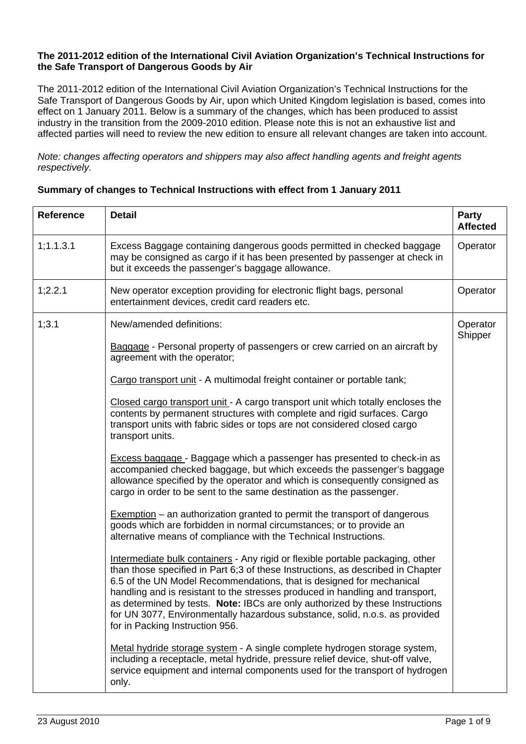## **The 2011-2012 edition of the International Civil Aviation Organization's Technical Instructions for the Safe Transport of Dangerous Goods by Air**

The 2011-2012 edition of the International Civil Aviation Organization's Technical Instructions for the Safe Transport of Dangerous Goods by Air, upon which United Kingdom legislation is based, comes into effect on 1 January 2011. Below is a summary of the changes, which has been produced to assist industry in the transition from the 2009-2010 edition. Please note this is not an exhaustive list and affected parties will need to review the new edition to ensure all relevant changes are taken into account.

*Note: changes affecting operators and shippers may also affect handling agents and freight agents respectively.* 

## **Summary of changes to Technical Instructions with effect from 1 January 2011**

| <b>Reference</b> | <b>Detail</b>                                                                                                                                                                                                                                                                                                                                                                                                                                                                                                                                                                                                                                                                                                                                                                                                                                                                                                                                                                                                                                                                                                                                                                                                                                                                                                                                                                                                                                                                                                                                                        | <b>Party</b><br><b>Affected</b> |
|------------------|----------------------------------------------------------------------------------------------------------------------------------------------------------------------------------------------------------------------------------------------------------------------------------------------------------------------------------------------------------------------------------------------------------------------------------------------------------------------------------------------------------------------------------------------------------------------------------------------------------------------------------------------------------------------------------------------------------------------------------------------------------------------------------------------------------------------------------------------------------------------------------------------------------------------------------------------------------------------------------------------------------------------------------------------------------------------------------------------------------------------------------------------------------------------------------------------------------------------------------------------------------------------------------------------------------------------------------------------------------------------------------------------------------------------------------------------------------------------------------------------------------------------------------------------------------------------|---------------------------------|
| 1; 1.1.3.1       | Excess Baggage containing dangerous goods permitted in checked baggage<br>may be consigned as cargo if it has been presented by passenger at check in<br>but it exceeds the passenger's baggage allowance.                                                                                                                                                                                                                                                                                                                                                                                                                                                                                                                                                                                                                                                                                                                                                                                                                                                                                                                                                                                                                                                                                                                                                                                                                                                                                                                                                           | Operator                        |
| 1;2.2.1          | New operator exception providing for electronic flight bags, personal<br>entertainment devices, credit card readers etc.                                                                                                                                                                                                                                                                                                                                                                                                                                                                                                                                                                                                                                                                                                                                                                                                                                                                                                                                                                                                                                                                                                                                                                                                                                                                                                                                                                                                                                             | Operator                        |
| 1;3.1            | New/amended definitions:<br><b>Baggage</b> - Personal property of passengers or crew carried on an aircraft by<br>agreement with the operator;<br>Cargo transport unit - A multimodal freight container or portable tank;<br>Closed cargo transport unit - A cargo transport unit which totally encloses the<br>contents by permanent structures with complete and rigid surfaces. Cargo<br>transport units with fabric sides or tops are not considered closed cargo<br>transport units.<br><b>Excess baggage</b> - Baggage which a passenger has presented to check-in as<br>accompanied checked baggage, but which exceeds the passenger's baggage<br>allowance specified by the operator and which is consequently consigned as<br>cargo in order to be sent to the same destination as the passenger.<br>$Exemption - an authorization granted to permit the transport of dangerous$<br>goods which are forbidden in normal circumstances; or to provide an<br>alternative means of compliance with the Technical Instructions.<br>Intermediate bulk containers - Any rigid or flexible portable packaging, other<br>than those specified in Part 6;3 of these Instructions, as described in Chapter<br>6.5 of the UN Model Recommendations, that is designed for mechanical<br>handling and is resistant to the stresses produced in handling and transport,<br>as determined by tests. Note: IBCs are only authorized by these Instructions<br>for UN 3077, Environmentally hazardous substance, solid, n.o.s. as provided<br>for in Packing Instruction 956. | Operator<br>Shipper             |
|                  | Metal hydride storage system - A single complete hydrogen storage system,<br>including a receptacle, metal hydride, pressure relief device, shut-off valve,<br>service equipment and internal components used for the transport of hydrogen<br>only.                                                                                                                                                                                                                                                                                                                                                                                                                                                                                                                                                                                                                                                                                                                                                                                                                                                                                                                                                                                                                                                                                                                                                                                                                                                                                                                 |                                 |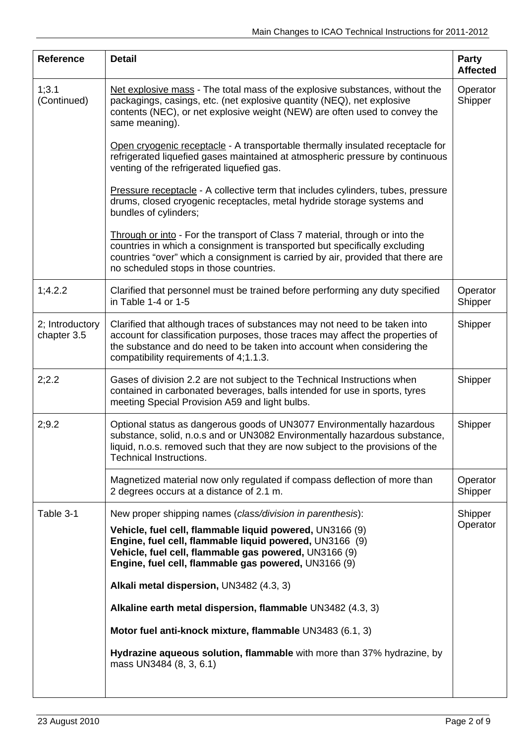| <b>Reference</b>               | <b>Detail</b>                                                                                                                                                                                                                                                                           | Party<br><b>Affected</b> |
|--------------------------------|-----------------------------------------------------------------------------------------------------------------------------------------------------------------------------------------------------------------------------------------------------------------------------------------|--------------------------|
| 1;3.1<br>(Continued)           | Net explosive mass - The total mass of the explosive substances, without the<br>packagings, casings, etc. (net explosive quantity (NEQ), net explosive<br>contents (NEC), or net explosive weight (NEW) are often used to convey the<br>same meaning).                                  | Operator<br>Shipper      |
|                                | Open cryogenic receptacle - A transportable thermally insulated receptacle for<br>refrigerated liquefied gases maintained at atmospheric pressure by continuous<br>venting of the refrigerated liquefied gas.                                                                           |                          |
|                                | <b>Pressure receptacle - A collective term that includes cylinders, tubes, pressure</b><br>drums, closed cryogenic receptacles, metal hydride storage systems and<br>bundles of cylinders;                                                                                              |                          |
|                                | Through or into - For the transport of Class 7 material, through or into the<br>countries in which a consignment is transported but specifically excluding<br>countries "over" which a consignment is carried by air, provided that there are<br>no scheduled stops in those countries. |                          |
| 1;4.2.2                        | Clarified that personnel must be trained before performing any duty specified<br>in Table 1-4 or 1-5                                                                                                                                                                                    | Operator<br>Shipper      |
| 2; Introductory<br>chapter 3.5 | Clarified that although traces of substances may not need to be taken into<br>account for classification purposes, those traces may affect the properties of<br>the substance and do need to be taken into account when considering the<br>compatibility requirements of 4;1.1.3.       | Shipper                  |
| 2;2.2                          | Gases of division 2.2 are not subject to the Technical Instructions when<br>contained in carbonated beverages, balls intended for use in sports, tyres<br>meeting Special Provision A59 and light bulbs.                                                                                | Shipper                  |
| 2;9.2                          | Optional status as dangerous goods of UN3077 Environmentally hazardous<br>substance, solid, n.o.s and or UN3082 Environmentally hazardous substance,<br>liquid, n.o.s. removed such that they are now subject to the provisions of the<br><b>Technical Instructions.</b>                | Shipper                  |
|                                | Magnetized material now only regulated if compass deflection of more than<br>2 degrees occurs at a distance of 2.1 m.                                                                                                                                                                   | Operator<br>Shipper      |
| Table 3-1                      | New proper shipping names (class/division in parenthesis):                                                                                                                                                                                                                              | Shipper                  |
|                                | Vehicle, fuel cell, flammable liquid powered, UN3166 (9)<br>Engine, fuel cell, flammable liquid powered, UN3166 (9)<br>Vehicle, fuel cell, flammable gas powered, UN3166 (9)<br>Engine, fuel cell, flammable gas powered, UN3166 (9)                                                    | Operator                 |
|                                | Alkali metal dispersion, UN3482 (4.3, 3)                                                                                                                                                                                                                                                |                          |
|                                | Alkaline earth metal dispersion, flammable UN3482 (4.3, 3)                                                                                                                                                                                                                              |                          |
|                                | Motor fuel anti-knock mixture, flammable UN3483 (6.1, 3)                                                                                                                                                                                                                                |                          |
|                                | Hydrazine aqueous solution, flammable with more than 37% hydrazine, by<br>mass UN3484 (8, 3, 6.1)                                                                                                                                                                                       |                          |
|                                |                                                                                                                                                                                                                                                                                         |                          |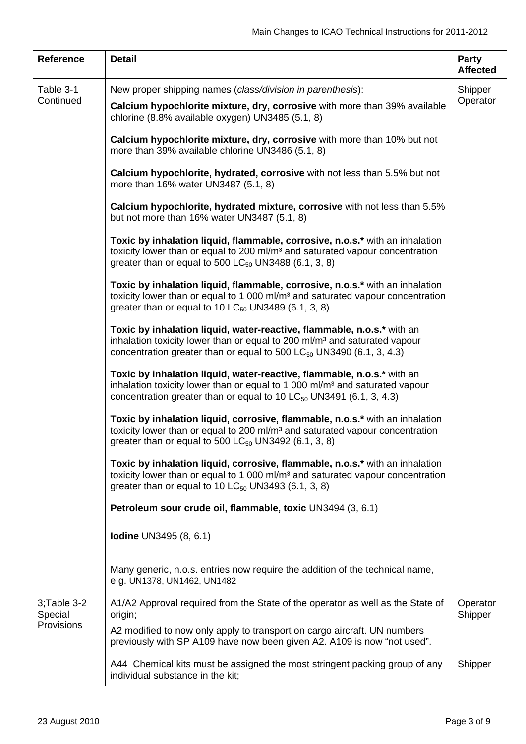| <b>Reference</b>                           | <b>Detail</b>                                                                                                                                                                                                                                 | Party<br><b>Affected</b> |
|--------------------------------------------|-----------------------------------------------------------------------------------------------------------------------------------------------------------------------------------------------------------------------------------------------|--------------------------|
| Table 3-1<br>Continued                     | New proper shipping names (class/division in parenthesis):<br>Calcium hypochlorite mixture, dry, corrosive with more than 39% available                                                                                                       | Shipper<br>Operator      |
|                                            | chlorine (8.8% available oxygen) UN3485 (5.1, 8)                                                                                                                                                                                              |                          |
|                                            | Calcium hypochlorite mixture, dry, corrosive with more than 10% but not<br>more than 39% available chlorine UN3486 (5.1, 8)                                                                                                                   |                          |
|                                            | Calcium hypochlorite, hydrated, corrosive with not less than 5.5% but not<br>more than 16% water UN3487 (5.1, 8)                                                                                                                              |                          |
|                                            | Calcium hypochlorite, hydrated mixture, corrosive with not less than 5.5%<br>but not more than 16% water UN3487 (5.1, 8)                                                                                                                      |                          |
|                                            | Toxic by inhalation liquid, flammable, corrosive, n.o.s.* with an inhalation<br>toxicity lower than or equal to 200 ml/m <sup>3</sup> and saturated vapour concentration<br>greater than or equal to 500 $LC_{50}$ UN3488 (6.1, 3, 8)         |                          |
|                                            | Toxic by inhalation liquid, flammable, corrosive, n.o.s.* with an inhalation<br>toxicity lower than or equal to 1 000 ml/m <sup>3</sup> and saturated vapour concentration<br>greater than or equal to 10 $LC_{50}$ UN3489 (6.1, 3, 8)        |                          |
|                                            | Toxic by inhalation liquid, water-reactive, flammable, n.o.s.* with an<br>inhalation toxicity lower than or equal to 200 ml/m <sup>3</sup> and saturated vapour<br>concentration greater than or equal to 500 $LC_{50}$ UN3490 (6.1, 3, 4.3)  |                          |
|                                            | Toxic by inhalation liquid, water-reactive, flammable, n.o.s.* with an<br>inhalation toxicity lower than or equal to 1 000 ml/m <sup>3</sup> and saturated vapour<br>concentration greater than or equal to 10 $LC_{50}$ UN3491 (6.1, 3, 4.3) |                          |
|                                            | Toxic by inhalation liquid, corrosive, flammable, n.o.s.* with an inhalation<br>toxicity lower than or equal to 200 ml/m <sup>3</sup> and saturated vapour concentration<br>greater than or equal to 500 $LC_{50}$ UN3492 (6.1, 3, 8)         |                          |
|                                            | Toxic by inhalation liquid, corrosive, flammable, n.o.s.* with an inhalation<br>toxicity lower than or equal to 1 000 ml/m <sup>3</sup> and saturated vapour concentration<br>greater than or equal to 10 $LC_{50}$ UN3493 (6.1, 3, 8)        |                          |
|                                            | Petroleum sour crude oil, flammable, toxic UN3494 (3, 6.1)                                                                                                                                                                                    |                          |
|                                            | <b>Iodine UN3495 (8, 6.1)</b>                                                                                                                                                                                                                 |                          |
|                                            | Many generic, n.o.s. entries now require the addition of the technical name,<br>e.g. UN1378, UN1462, UN1482                                                                                                                                   |                          |
| $3$ ; Table $3-2$<br>Special<br>Provisions | A1/A2 Approval required from the State of the operator as well as the State of<br>origin;                                                                                                                                                     | Operator<br>Shipper      |
|                                            | A2 modified to now only apply to transport on cargo aircraft. UN numbers<br>previously with SP A109 have now been given A2. A109 is now "not used".                                                                                           |                          |
|                                            | A44 Chemical kits must be assigned the most stringent packing group of any<br>individual substance in the kit;                                                                                                                                | Shipper                  |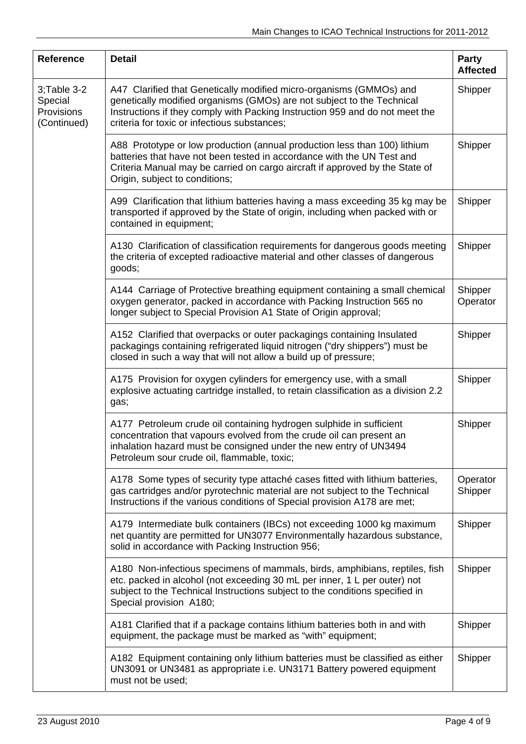| <b>Reference</b>                                    | <b>Detail</b>                                                                                                                                                                                                                                                                 | <b>Party</b><br><b>Affected</b> |
|-----------------------------------------------------|-------------------------------------------------------------------------------------------------------------------------------------------------------------------------------------------------------------------------------------------------------------------------------|---------------------------------|
| 3;Table 3-2<br>Special<br>Provisions<br>(Continued) | A47 Clarified that Genetically modified micro-organisms (GMMOs) and<br>genetically modified organisms (GMOs) are not subject to the Technical<br>Instructions if they comply with Packing Instruction 959 and do not meet the<br>criteria for toxic or infectious substances; | Shipper                         |
|                                                     | A88 Prototype or low production (annual production less than 100) lithium<br>batteries that have not been tested in accordance with the UN Test and<br>Criteria Manual may be carried on cargo aircraft if approved by the State of<br>Origin, subject to conditions;         | Shipper                         |
|                                                     | A99 Clarification that lithium batteries having a mass exceeding 35 kg may be<br>transported if approved by the State of origin, including when packed with or<br>contained in equipment;                                                                                     | Shipper                         |
|                                                     | A130 Clarification of classification requirements for dangerous goods meeting<br>the criteria of excepted radioactive material and other classes of dangerous<br>goods;                                                                                                       | Shipper                         |
|                                                     | A144 Carriage of Protective breathing equipment containing a small chemical<br>oxygen generator, packed in accordance with Packing Instruction 565 no<br>longer subject to Special Provision A1 State of Origin approval;                                                     | Shipper<br>Operator             |
|                                                     | A152 Clarified that overpacks or outer packagings containing Insulated<br>packagings containing refrigerated liquid nitrogen ("dry shippers") must be<br>closed in such a way that will not allow a build up of pressure;                                                     | Shipper                         |
|                                                     | A175 Provision for oxygen cylinders for emergency use, with a small<br>explosive actuating cartridge installed, to retain classification as a division 2.2<br>gas;                                                                                                            | Shipper                         |
|                                                     | A177 Petroleum crude oil containing hydrogen sulphide in sufficient<br>concentration that vapours evolved from the crude oil can present an<br>inhalation hazard must be consigned under the new entry of UN3494<br>Petroleum sour crude oil, flammable, toxic;               | Shipper                         |
|                                                     | A178 Some types of security type attaché cases fitted with lithium batteries,<br>gas cartridges and/or pyrotechnic material are not subject to the Technical<br>Instructions if the various conditions of Special provision A178 are met;                                     | Operator<br>Shipper             |
|                                                     | A179 Intermediate bulk containers (IBCs) not exceeding 1000 kg maximum<br>net quantity are permitted for UN3077 Environmentally hazardous substance,<br>solid in accordance with Packing Instruction 956;                                                                     | Shipper                         |
|                                                     | A180 Non-infectious specimens of mammals, birds, amphibians, reptiles, fish<br>etc. packed in alcohol (not exceeding 30 mL per inner, 1 L per outer) not<br>subject to the Technical Instructions subject to the conditions specified in<br>Special provision A180;           | Shipper                         |
|                                                     | A181 Clarified that if a package contains lithium batteries both in and with<br>equipment, the package must be marked as "with" equipment;                                                                                                                                    | Shipper                         |
|                                                     | A182 Equipment containing only lithium batteries must be classified as either<br>UN3091 or UN3481 as appropriate i.e. UN3171 Battery powered equipment<br>must not be used;                                                                                                   | Shipper                         |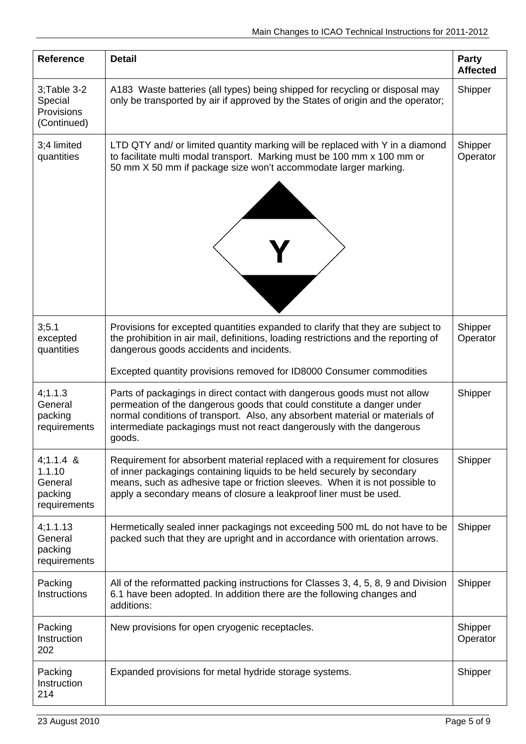| <b>Reference</b>                                            | <b>Detail</b>                                                                                                                                                                                                                                                                                                          | Party<br><b>Affected</b> |
|-------------------------------------------------------------|------------------------------------------------------------------------------------------------------------------------------------------------------------------------------------------------------------------------------------------------------------------------------------------------------------------------|--------------------------|
| $3$ ; Table $3-2$<br>Special<br>Provisions<br>(Continued)   | A183 Waste batteries (all types) being shipped for recycling or disposal may<br>only be transported by air if approved by the States of origin and the operator;                                                                                                                                                       | Shipper                  |
| 3;4 limited<br>quantities                                   | LTD QTY and/ or limited quantity marking will be replaced with Y in a diamond<br>to facilitate multi modal transport. Marking must be 100 mm x 100 mm or<br>50 mm X 50 mm if package size won't accommodate larger marking.                                                                                            | Shipper<br>Operator      |
| 3;5.1<br>excepted<br>quantities                             | Provisions for excepted quantities expanded to clarify that they are subject to<br>the prohibition in air mail, definitions, loading restrictions and the reporting of<br>dangerous goods accidents and incidents.                                                                                                     | Shipper<br>Operator      |
|                                                             | Excepted quantity provisions removed for ID8000 Consumer commodities                                                                                                                                                                                                                                                   |                          |
| 4;1.1.3<br>General<br>packing<br>requirements               | Parts of packagings in direct contact with dangerous goods must not allow<br>permeation of the dangerous goods that could constitute a danger under<br>normal conditions of transport. Also, any absorbent material or materials of<br>intermediate packagings must not react dangerously with the dangerous<br>goods. | Shipper                  |
| $4;1.1.4$ &<br>1.1.10<br>General<br>packing<br>requirements | Requirement for absorbent material replaced with a requirement for closures<br>of inner packagings containing liquids to be held securely by secondary<br>means, such as adhesive tape or friction sleeves. When it is not possible to<br>apply a secondary means of closure a leakproof liner must be used.           | Shipper                  |
| 4;1.1.13<br>General<br>packing<br>requirements              | Hermetically sealed inner packagings not exceeding 500 mL do not have to be<br>packed such that they are upright and in accordance with orientation arrows.                                                                                                                                                            | Shipper                  |
| Packing<br>Instructions                                     | All of the reformatted packing instructions for Classes 3, 4, 5, 8, 9 and Division<br>6.1 have been adopted. In addition there are the following changes and<br>additions:                                                                                                                                             | Shipper                  |
| Packing<br>Instruction<br>202                               | New provisions for open cryogenic receptacles.                                                                                                                                                                                                                                                                         | Shipper<br>Operator      |
| Packing<br>Instruction<br>214                               | Expanded provisions for metal hydride storage systems.                                                                                                                                                                                                                                                                 | Shipper                  |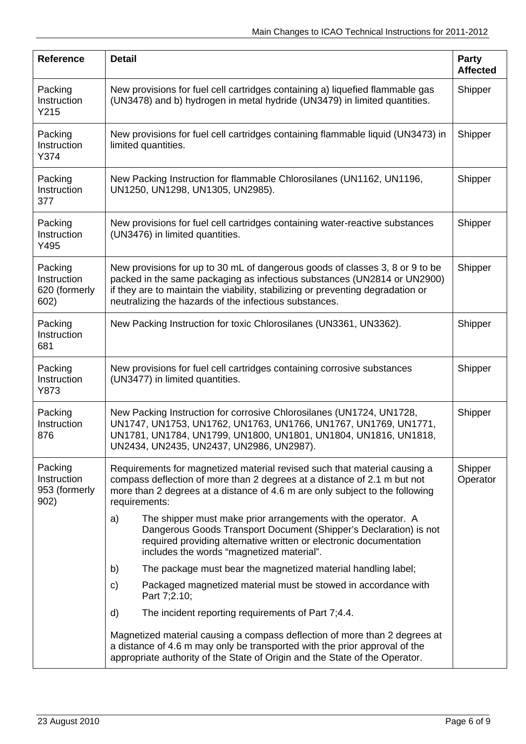| <b>Reference</b>                                | <b>Detail</b>                                                                                                                                                                                                                                                                                         | Party<br><b>Affected</b> |
|-------------------------------------------------|-------------------------------------------------------------------------------------------------------------------------------------------------------------------------------------------------------------------------------------------------------------------------------------------------------|--------------------------|
| Packing<br>Instruction<br>Y215                  | New provisions for fuel cell cartridges containing a) liquefied flammable gas<br>(UN3478) and b) hydrogen in metal hydride (UN3479) in limited quantities.                                                                                                                                            | Shipper                  |
| Packing<br>Instruction<br>Y374                  | New provisions for fuel cell cartridges containing flammable liquid (UN3473) in<br>limited quantities.                                                                                                                                                                                                | Shipper                  |
| Packing<br>Instruction<br>377                   | New Packing Instruction for flammable Chlorosilanes (UN1162, UN1196,<br>UN1250, UN1298, UN1305, UN2985).                                                                                                                                                                                              | Shipper                  |
| Packing<br>Instruction<br>Y495                  | New provisions for fuel cell cartridges containing water-reactive substances<br>(UN3476) in limited quantities.                                                                                                                                                                                       | Shipper                  |
| Packing<br>Instruction<br>620 (formerly<br>602) | New provisions for up to 30 mL of dangerous goods of classes 3, 8 or 9 to be<br>packed in the same packaging as infectious substances (UN2814 or UN2900)<br>if they are to maintain the viability, stabilizing or preventing degradation or<br>neutralizing the hazards of the infectious substances. | Shipper                  |
| Packing<br>Instruction<br>681                   | New Packing Instruction for toxic Chlorosilanes (UN3361, UN3362).                                                                                                                                                                                                                                     | Shipper                  |
| Packing<br>Instruction<br>Y873                  | New provisions for fuel cell cartridges containing corrosive substances<br>(UN3477) in limited quantities.                                                                                                                                                                                            | Shipper                  |
| Packing<br>Instruction<br>876                   | New Packing Instruction for corrosive Chlorosilanes (UN1724, UN1728,<br>UN1747, UN1753, UN1762, UN1763, UN1766, UN1767, UN1769, UN1771,<br>UN1781, UN1784, UN1799, UN1800, UN1801, UN1804, UN1816, UN1818,<br>UN2434, UN2435, UN2437, UN2986, UN2987).                                                | Shipper                  |
| Packing<br>Instruction<br>953 (formerly<br>902) | Requirements for magnetized material revised such that material causing a<br>compass deflection of more than 2 degrees at a distance of 2.1 m but not<br>more than 2 degrees at a distance of 4.6 m are only subject to the following<br>requirements:                                                | Shipper<br>Operator      |
|                                                 | The shipper must make prior arrangements with the operator. A<br>a)<br>Dangerous Goods Transport Document (Shipper's Declaration) is not<br>required providing alternative written or electronic documentation<br>includes the words "magnetized material".                                           |                          |
|                                                 | The package must bear the magnetized material handling label;<br>b)                                                                                                                                                                                                                                   |                          |
|                                                 | Packaged magnetized material must be stowed in accordance with<br>C)<br>Part 7;2.10;                                                                                                                                                                                                                  |                          |
|                                                 | The incident reporting requirements of Part 7;4.4.<br>d)                                                                                                                                                                                                                                              |                          |
|                                                 | Magnetized material causing a compass deflection of more than 2 degrees at<br>a distance of 4.6 m may only be transported with the prior approval of the<br>appropriate authority of the State of Origin and the State of the Operator.                                                               |                          |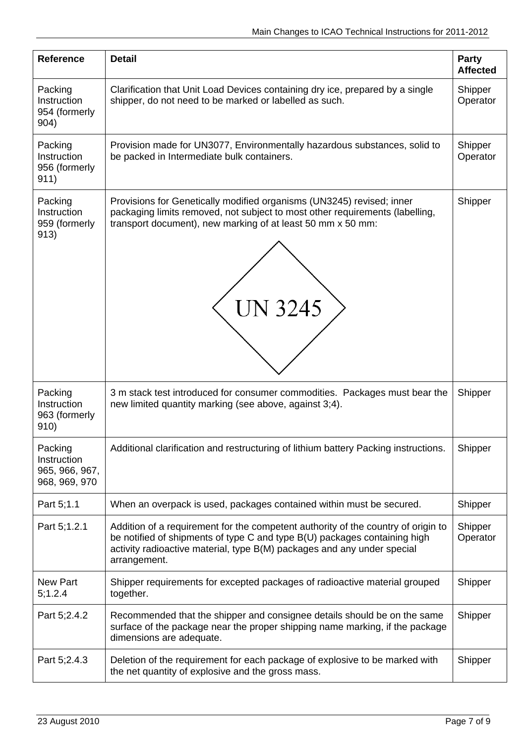| <b>Reference</b>                                          | <b>Detail</b>                                                                                                                                                                                                                                             | Party<br><b>Affected</b> |
|-----------------------------------------------------------|-----------------------------------------------------------------------------------------------------------------------------------------------------------------------------------------------------------------------------------------------------------|--------------------------|
| Packing<br>Instruction<br>954 (formerly<br>904)           | Clarification that Unit Load Devices containing dry ice, prepared by a single<br>shipper, do not need to be marked or labelled as such.                                                                                                                   | Shipper<br>Operator      |
| Packing<br>Instruction<br>956 (formerly<br>911)           | Provision made for UN3077, Environmentally hazardous substances, solid to<br>be packed in Intermediate bulk containers.                                                                                                                                   | Shipper<br>Operator      |
| Packing<br>Instruction<br>959 (formerly<br>913)           | Provisions for Genetically modified organisms (UN3245) revised; inner<br>packaging limits removed, not subject to most other requirements (labelling,<br>transport document), new marking of at least 50 mm x 50 mm:<br><b>UN 3245</b>                    | Shipper                  |
| Packing<br>Instruction<br>963 (formerly<br>910)           | 3 m stack test introduced for consumer commodities. Packages must bear the<br>new limited quantity marking (see above, against 3;4).                                                                                                                      | Shipper                  |
| Packing<br>Instruction<br>965, 966, 967,<br>968, 969, 970 | Additional clarification and restructuring of lithium battery Packing instructions.                                                                                                                                                                       | Shipper                  |
| Part 5;1.1                                                | When an overpack is used, packages contained within must be secured.                                                                                                                                                                                      | Shipper                  |
| Part 5;1.2.1                                              | Addition of a requirement for the competent authority of the country of origin to<br>be notified of shipments of type C and type B(U) packages containing high<br>activity radioactive material, type B(M) packages and any under special<br>arrangement. | Shipper<br>Operator      |
| <b>New Part</b><br>5;1.2.4                                | Shipper requirements for excepted packages of radioactive material grouped<br>together.                                                                                                                                                                   | Shipper                  |
| Part 5;2.4.2                                              | Recommended that the shipper and consignee details should be on the same<br>surface of the package near the proper shipping name marking, if the package<br>dimensions are adequate.                                                                      | Shipper                  |
| Part 5;2.4.3                                              | Deletion of the requirement for each package of explosive to be marked with<br>the net quantity of explosive and the gross mass.                                                                                                                          | Shipper                  |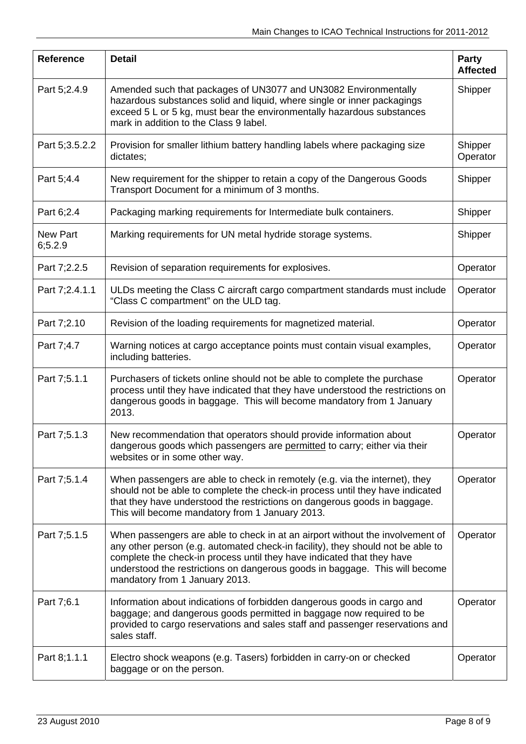| <b>Reference</b>           | <b>Detail</b>                                                                                                                                                                                                                                                                                                                                               | Party<br><b>Affected</b> |
|----------------------------|-------------------------------------------------------------------------------------------------------------------------------------------------------------------------------------------------------------------------------------------------------------------------------------------------------------------------------------------------------------|--------------------------|
| Part 5;2.4.9               | Amended such that packages of UN3077 and UN3082 Environmentally<br>hazardous substances solid and liquid, where single or inner packagings<br>exceed 5 L or 5 kg, must bear the environmentally hazardous substances<br>mark in addition to the Class 9 label.                                                                                              | Shipper                  |
| Part 5;3.5.2.2             | Provision for smaller lithium battery handling labels where packaging size<br>dictates;                                                                                                                                                                                                                                                                     | Shipper<br>Operator      |
| Part 5;4.4                 | New requirement for the shipper to retain a copy of the Dangerous Goods<br>Transport Document for a minimum of 3 months.                                                                                                                                                                                                                                    | Shipper                  |
| Part 6;2.4                 | Packaging marking requirements for Intermediate bulk containers.                                                                                                                                                                                                                                                                                            | Shipper                  |
| <b>New Part</b><br>6;5.2.9 | Marking requirements for UN metal hydride storage systems.                                                                                                                                                                                                                                                                                                  | Shipper                  |
| Part 7;2.2.5               | Revision of separation requirements for explosives.                                                                                                                                                                                                                                                                                                         | Operator                 |
| Part 7;2.4.1.1             | ULDs meeting the Class C aircraft cargo compartment standards must include<br>"Class C compartment" on the ULD tag.                                                                                                                                                                                                                                         | Operator                 |
| Part 7;2.10                | Revision of the loading requirements for magnetized material.                                                                                                                                                                                                                                                                                               | Operator                 |
| Part 7;4.7                 | Warning notices at cargo acceptance points must contain visual examples,<br>including batteries.                                                                                                                                                                                                                                                            | Operator                 |
| Part 7;5.1.1               | Purchasers of tickets online should not be able to complete the purchase<br>process until they have indicated that they have understood the restrictions on<br>dangerous goods in baggage. This will become mandatory from 1 January<br>2013.                                                                                                               | Operator                 |
| Part 7;5.1.3               | New recommendation that operators should provide information about<br>dangerous goods which passengers are permitted to carry; either via their<br>websites or in some other way.                                                                                                                                                                           | Operator                 |
| Part 7;5.1.4               | When passengers are able to check in remotely (e.g. via the internet), they<br>should not be able to complete the check-in process until they have indicated<br>that they have understood the restrictions on dangerous goods in baggage.<br>This will become mandatory from 1 January 2013.                                                                | Operator                 |
| Part 7;5.1.5               | When passengers are able to check in at an airport without the involvement of<br>any other person (e.g. automated check-in facility), they should not be able to<br>complete the check-in process until they have indicated that they have<br>understood the restrictions on dangerous goods in baggage. This will become<br>mandatory from 1 January 2013. | Operator                 |
| Part 7;6.1                 | Information about indications of forbidden dangerous goods in cargo and<br>baggage; and dangerous goods permitted in baggage now required to be<br>provided to cargo reservations and sales staff and passenger reservations and<br>sales staff.                                                                                                            | Operator                 |
| Part 8;1.1.1               | Electro shock weapons (e.g. Tasers) forbidden in carry-on or checked<br>baggage or on the person.                                                                                                                                                                                                                                                           | Operator                 |